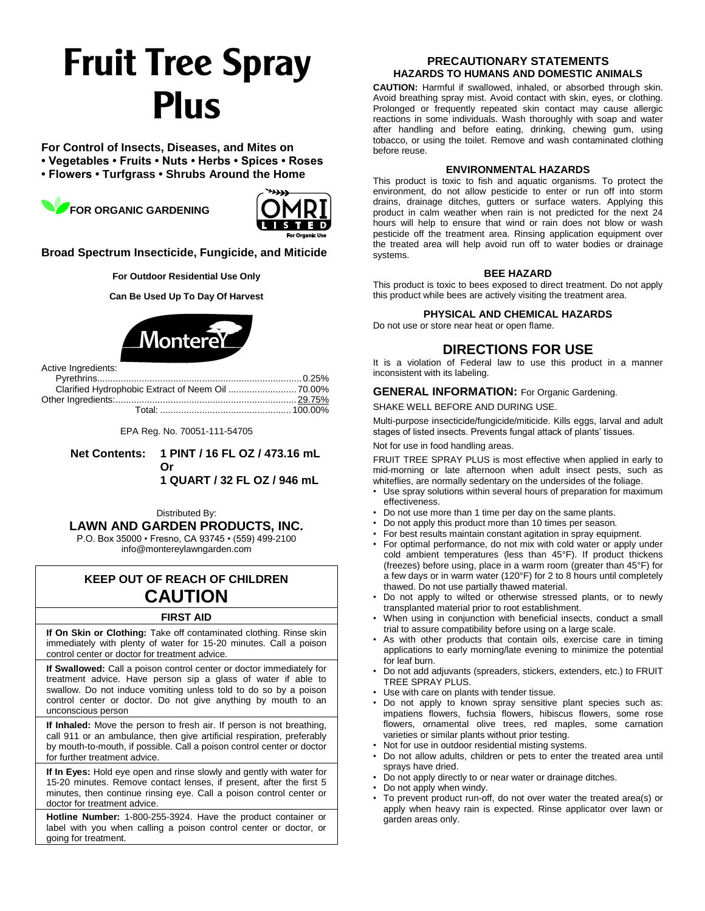# **Fruit Tree Spray Plus**

**For Control of Insects, Diseases, and Mites on**

**• Vegetables • Fruits • Nuts • Herbs • Spices • Roses** 

**• Flowers • Turfgrass • Shrubs Around the Home** 

**FOR ORGANIC GARDENING**



**Broad Spectrum Insecticide, Fungicide, and Miticide**

**For Outdoor Residential Use Only**

**Can Be Used Up To Day Of Harvest**



Active Ingredients:

EPA Reg. No. 70051-111-54705

**Net Contents: 1 PINT / 16 FL OZ / 473.16 mL Or 1 QUART / 32 FL OZ / 946 mL**

Distributed By: **LAWN AND GARDEN PRODUCTS, INC.**

P.O. Box 35000 • Fresno, CA 93745 • (559) 499-2100 info@montereylawngarden.com

# **KEEP OUT OF REACH OF CHILDREN CAUTION**

## **FIRST AID**

**If On Skin or Clothing:** Take off contaminated clothing. Rinse skin immediately with plenty of water for 15-20 minutes. Call a poison control center or doctor for treatment advice.

**If Swallowed:** Call a poison control center or doctor immediately for treatment advice. Have person sip a glass of water if able to swallow. Do not induce vomiting unless told to do so by a poison control center or doctor. Do not give anything by mouth to an unconscious person

**If Inhaled:** Move the person to fresh air. If person is not breathing, call 911 or an ambulance, then give artificial respiration, preferably by mouth-to-mouth, if possible. Call a poison control center or doctor for further treatment advice

**If In Eyes:** Hold eye open and rinse slowly and gently with water for 15-20 minutes. Remove contact lenses, if present, after the first 5 minutes, then continue rinsing eye. Call a poison control center or doctor for treatment advice.

**Hotline Number:** 1-800-255-3924. Have the product container or label with you when calling a poison control center or doctor, or going for treatment.

#### **PRECAUTIONARY STATEMENTS HAZARDS TO HUMANS AND DOMESTIC ANIMALS**

**CAUTION:** Harmful if swallowed, inhaled, or absorbed through skin. Avoid breathing spray mist. Avoid contact with skin, eyes, or clothing. Prolonged or frequently repeated skin contact may cause allergic reactions in some individuals. Wash thoroughly with soap and water after handling and before eating, drinking, chewing gum, using tobacco, or using the toilet. Remove and wash contaminated clothing before reuse.

#### **ENVIRONMENTAL HAZARDS**

This product is toxic to fish and aquatic organisms. To protect the environment, do not allow pesticide to enter or run off into storm drains, drainage ditches, gutters or surface waters. Applying this product in calm weather when rain is not predicted for the next 24 hours will help to ensure that wind or rain does not blow or wash pesticide off the treatment area. Rinsing application equipment over the treated area will help avoid run off to water bodies or drainage systems.

#### **BEE HAZARD**

This product is toxic to bees exposed to direct treatment. Do not apply this product while bees are actively visiting the treatment area.

#### **PHYSICAL AND CHEMICAL HAZARDS**

Do not use or store near heat or open flame.

# **DIRECTIONS FOR USE**

It is a violation of Federal law to use this product in a manner inconsistent with its labeling.

### **GENERAL INFORMATION:** For Organic Gardening.

SHAKE WELL BEFORE AND DURING USE.

Multi-purpose insecticide/fungicide/miticide. Kills eggs, larval and adult stages of listed insects. Prevents fungal attack of plants' tissues.

Not for use in food handling areas.

FRUIT TREE SPRAY PLUS is most effective when applied in early to mid-morning or late afternoon when adult insect pests, such as whiteflies, are normally sedentary on the undersides of the foliage.

- Use spray solutions within several hours of preparation for maximum effectiveness.
- Do not use more than 1 time per day on the same plants.
- Do not apply this product more than 10 times per season.
- For best results maintain constant agitation in spray equipment.
- For optimal performance, do not mix with cold water or apply under cold ambient temperatures (less than 45°F). If product thickens (freezes) before using, place in a warm room (greater than 45°F) for a few days or in warm water (120°F) for 2 to 8 hours until completely thawed. Do not use partially thawed material.
- Do not apply to wilted or otherwise stressed plants, or to newly transplanted material prior to root establishment.
- When using in conjunction with beneficial insects, conduct a small trial to assure compatibility before using on a large scale.
- As with other products that contain oils, exercise care in timing applications to early morning/late evening to minimize the potential for leaf burn.
- Do not add adjuvants (spreaders, stickers, extenders, etc.) to FRUIT TREE SPRAY PLUS.
- Use with care on plants with tender tissue.
- Do not apply to known spray sensitive plant species such as: impatiens flowers, fuchsia flowers, hibiscus flowers, some rose flowers, ornamental olive trees, red maples, some carnation varieties or similar plants without prior testing.
- Not for use in outdoor residential misting systems.
- Do not allow adults, children or pets to enter the treated area until sprays have dried.
- Do not apply directly to or near water or drainage ditches.
- Do not apply when windy.
- To prevent product run-off, do not over water the treated area(s) or apply when heavy rain is expected. Rinse applicator over lawn or garden areas only.